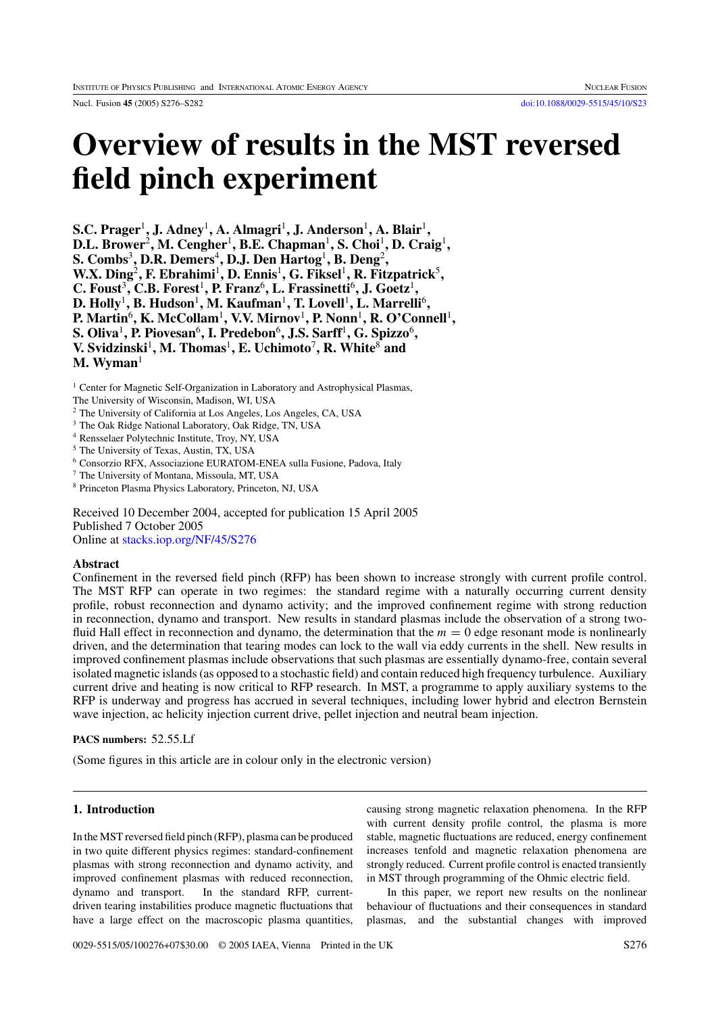Nucl. Fusion **45** (2005) S276–S282 [doi:10.1088/0029-5515/45/10/S23](http://dx.doi.org/10.1088/0029-5515/45/10/S23)

# **Overview of results in the MST reversed field pinch experiment**

**S.C. Prager**<sup>1</sup>**, J. Adney**<sup>1</sup>**, A. Almagri**<sup>1</sup>**, J. Anderson**<sup>1</sup>**, A. Blair**<sup>1</sup>**, D.L. Brower**<sup>2</sup>**, M. Cengher**<sup>1</sup>**, B.E. Chapman**<sup>1</sup>**, S. Choi**<sup>1</sup>**, D. Craig**<sup>1</sup>**, S. Combs**<sup>3</sup>**, D.R. Demers**<sup>4</sup>**, D.J. Den Hartog**<sup>1</sup>**, B. Deng**<sup>2</sup>**, W.X. Ding**<sup>2</sup>**, F. Ebrahimi**<sup>1</sup>**, D. Ennis**<sup>1</sup>**, G. Fiksel**<sup>1</sup>**, R. Fitzpatrick**<sup>5</sup>**, C. Foust**<sup>3</sup>**, C.B. Forest**<sup>1</sup>**, P. Franz**<sup>6</sup>**, L. Frassinetti**<sup>6</sup>**, J. Goetz**<sup>1</sup>**, D. Holly**<sup>1</sup>**, B. Hudson**<sup>1</sup>**, M. Kaufman**<sup>1</sup>**, T. Lovell**<sup>1</sup>**, L. Marrelli**<sup>6</sup>**, P. Martin**<sup>6</sup>**, K. McCollam**<sup>1</sup>**, V.V. Mirnov**<sup>1</sup>**, P. Nonn**<sup>1</sup>**, R. O'Connell**<sup>1</sup>**, S. Oliva**<sup>1</sup>**, P. Piovesan**<sup>6</sup>**, I. Predebon**<sup>6</sup>**, J.S. Sarff**<sup>1</sup>**, G. Spizzo**<sup>6</sup>**, V. Svidzinski**<sup>1</sup>**, M. Thomas**<sup>1</sup>**, E. Uchimoto**<sup>7</sup>**, R. White**<sup>8</sup> **and M. Wyman**<sup>1</sup>

<sup>1</sup> Center for Magnetic Self-Organization in Laboratory and Astrophysical Plasmas,

The University of Wisconsin, Madison, WI, USA

<sup>2</sup> The University of California at Los Angeles, Los Angeles, CA, USA

<sup>3</sup> The Oak Ridge National Laboratory, Oak Ridge, TN, USA

<sup>4</sup> Rensselaer Polytechnic Institute, Troy, NY, USA

<sup>5</sup> The University of Texas, Austin, TX, USA

<sup>6</sup> Consorzio RFX, Associazione EURATOM-ENEA sulla Fusione, Padova, Italy

<sup>7</sup> The University of Montana, Missoula, MT, USA

<sup>8</sup> Princeton Plasma Physics Laboratory, Princeton, NJ, USA

Received 10 December 2004, accepted for publication 15 April 2005 Published 7 October 2005 Online at [stacks.iop.org/NF/45/S276](http://stacks.iop.org/NF/45/S276)

## **Abstract**

Confinement in the reversed field pinch (RFP) has been shown to increase strongly with current profile control. The MST RFP can operate in two regimes: the standard regime with a naturally occurring current density profile, robust reconnection and dynamo activity; and the improved confinement regime with strong reduction in reconnection, dynamo and transport. New results in standard plasmas include the observation of a strong twofluid Hall effect in reconnection and dynamo, the determination that the  $m = 0$  edge resonant mode is nonlinearly driven, and the determination that tearing modes can lock to the wall via eddy currents in the shell. New results in improved confinement plasmas include observations that such plasmas are essentially dynamo-free, contain several isolated magnetic islands (as opposed to a stochastic field) and contain reduced high frequency turbulence. Auxiliary current drive and heating is now critical to RFP research. In MST, a programme to apply auxiliary systems to the RFP is underway and progress has accrued in several techniques, including lower hybrid and electron Bernstein wave injection, ac helicity injection current drive, pellet injection and neutral beam injection.

# **PACS numbers:** 52.55.Lf

(Some figures in this article are in colour only in the electronic version)

# **1. Introduction**

In the MST reversed field pinch (RFP), plasma can be produced in two quite different physics regimes: standard-confinement plasmas with strong reconnection and dynamo activity, and improved confinement plasmas with reduced reconnection, dynamo and transport. In the standard RFP, currentdriven tearing instabilities produce magnetic fluctuations that have a large effect on the macroscopic plasma quantities,

causing strong magnetic relaxation phenomena. In the RFP with current density profile control, the plasma is more stable, magnetic fluctuations are reduced, energy confinement increases tenfold and magnetic relaxation phenomena are strongly reduced. Current profile control is enacted transiently in MST through programming of the Ohmic electric field.

In this paper, we report new results on the nonlinear behaviour of fluctuations and their consequences in standard plasmas, and the substantial changes with improved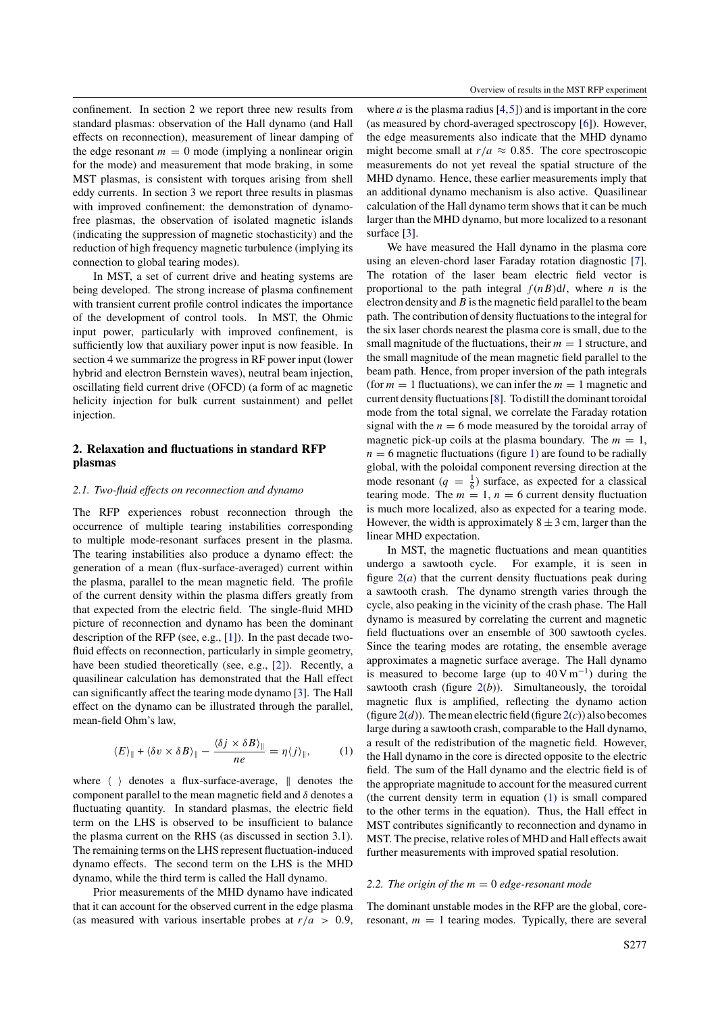<span id="page-1-0"></span>confinement. In section 2 we report three new results from standard plasmas: observation of the Hall dynamo (and Hall effects on reconnection), measurement of linear damping of the edge resonant  $m = 0$  mode (implying a nonlinear origin for the mode) and measurement that mode braking, in some MST plasmas, is consistent with torques arising from shell eddy currents. In section 3 we report three results in plasmas with improved confinement: the demonstration of dynamofree plasmas, the observation of isolated magnetic islands (indicating the suppression of magnetic stochasticity) and the reduction of high frequency magnetic turbulence (implying its connection to global tearing modes).

In MST, a set of current drive and heating systems are being developed. The strong increase of plasma confinement with transient current profile control indicates the importance of the development of control tools. In MST, the Ohmic input power, particularly with improved confinement, is sufficiently low that auxiliary power input is now feasible. In section 4 we summarize the progress in RF power input (lower hybrid and electron Bernstein waves), neutral beam injection, oscillating field current drive (OFCD) (a form of ac magnetic helicity injection for bulk current sustainment) and pellet injection.

# **2. Relaxation and fluctuations in standard RFP plasmas**

# *2.1. Two-fluid effects on reconnection and dynamo*

The RFP experiences robust reconnection through the occurrence of multiple tearing instabilities corresponding to multiple mode-resonant surfaces present in the plasma. The tearing instabilities also produce a dynamo effect: the generation of a mean (flux-surface-averaged) current within the plasma, parallel to the mean magnetic field. The profile of the current density within the plasma differs greatly from that expected from the electric field. The single-fluid MHD picture of reconnection and dynamo has been the dominant description of the RFP (see, e.g., [\[1\]](#page-6-0)). In the past decade twofluid effects on reconnection, particularly in simple geometry, have been studied theoretically (see, e.g., [\[2\]](#page-6-0)). Recently, a quasilinear calculation has demonstrated that the Hall effect can significantly affect the tearing mode dynamo [\[3\]](#page-6-0). The Hall effect on the dynamo can be illustrated through the parallel, mean-field Ohm's law,

$$
\langle E \rangle_{\parallel} + \langle \delta v \times \delta B \rangle_{\parallel} - \frac{\langle \delta j \times \delta B \rangle_{\parallel}}{n e} = \eta \langle j \rangle_{\parallel}, \tag{1}
$$

where  $\langle \rangle$  denotes a flux-surface-average,  $\parallel$  denotes the component parallel to the mean magnetic field and *δ* denotes a fluctuating quantity. In standard plasmas, the electric field term on the LHS is observed to be insufficient to balance the plasma current on the RHS (as discussed in section 3.1). The remaining terms on the LHS represent fluctuation-induced dynamo effects. The second term on the LHS is the MHD dynamo, while the third term is called the Hall dynamo.

Prior measurements of the MHD dynamo have indicated that it can account for the observed current in the edge plasma (as measured with various insertable probes at  $r/a > 0.9$ ,

where  $a$  is the plasma radius  $[4,5]$  and is important in the core (as measured by chord-averaged spectroscopy [\[6\]](#page-6-0)). However, the edge measurements also indicate that the MHD dynamo might become small at  $r/a \approx 0.85$ . The core spectroscopic measurements do not yet reveal the spatial structure of the MHD dynamo. Hence, these earlier measurements imply that an additional dynamo mechanism is also active. Quasilinear calculation of the Hall dynamo term shows that it can be much larger than the MHD dynamo, but more localized to a resonant surface [\[3\]](#page-6-0).

We have measured the Hall dynamo in the plasma core using an eleven-chord laser Faraday rotation diagnostic [\[7\]](#page-6-0). The rotation of the laser beam electric field vector is proportional to the path integral ∫*(nB)*d*l*, where *n* is the electron density and*B* is the magnetic field parallel to the beam path. The contribution of density fluctuations to the integral for the six laser chords nearest the plasma core is small, due to the small magnitude of the fluctuations, their  $m = 1$  structure, and the small magnitude of the mean magnetic field parallel to the beam path. Hence, from proper inversion of the path integrals (for  $m = 1$  fluctuations), we can infer the  $m = 1$  magnetic and current density fluctuations [\[8\]](#page-6-0). To distill the dominant toroidal mode from the total signal, we correlate the Faraday rotation signal with the  $n = 6$  mode measured by the toroidal array of magnetic pick-up coils at the plasma boundary. The  $m = 1$ ,  $n = 6$  magnetic fluctuations (figure [1\)](#page-2-0) are found to be radially global, with the poloidal component reversing direction at the mode resonant ( $q = \frac{1}{6}$ ) surface, as expected for a classical tearing mode. The  $m = 1$ ,  $n = 6$  current density fluctuation is much more localized, also as expected for a tearing mode. However, the width is approximately  $8 \pm 3$  cm, larger than the linear MHD expectation.

In MST, the magnetic fluctuations and mean quantities undergo a sawtooth cycle. For example, it is seen in figure  $2(a)$  $2(a)$  that the current density fluctuations peak during a sawtooth crash. The dynamo strength varies through the cycle, also peaking in the vicinity of the crash phase. The Hall dynamo is measured by correlating the current and magnetic field fluctuations over an ensemble of 300 sawtooth cycles. Since the tearing modes are rotating, the ensemble average approximates a magnetic surface average. The Hall dynamo is measured to become large (up to  $40 \text{ V m}^{-1}$ ) during the sawtooth crash (figure  $2(b)$  $2(b)$ ). Simultaneously, the toroidal magnetic flux is amplified, reflecting the dynamo action (figure  $2(d)$  $2(d)$ ). The mean electric field (figure  $2(c)$ ) also becomes large during a sawtooth crash, comparable to the Hall dynamo, a result of the redistribution of the magnetic field. However, the Hall dynamo in the core is directed opposite to the electric field. The sum of the Hall dynamo and the electric field is of the appropriate magnitude to account for the measured current (the current density term in equation (1) is small compared to the other terms in the equation). Thus, the Hall effect in MST contributes significantly to reconnection and dynamo in MST. The precise, relative roles of MHD and Hall effects await further measurements with improved spatial resolution.

## *2.2. The origin of the m* = 0 *edge-resonant mode*

The dominant unstable modes in the RFP are the global, coreresonant,  $m = 1$  tearing modes. Typically, there are several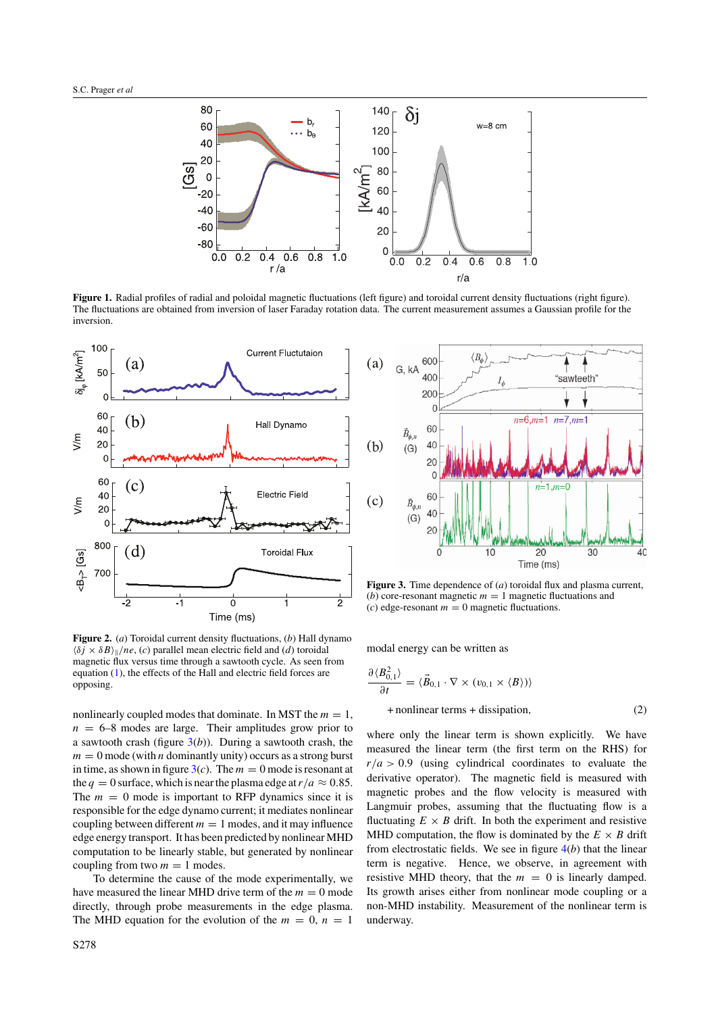<span id="page-2-0"></span>

Figure 1. Radial profiles of radial and poloidal magnetic fluctuations (left figure) and toroidal current density fluctuations (right figure). The fluctuations are obtained from inversion of laser Faraday rotation data. The current measurement assumes a Gaussian profile for the inversion.



**Figure 2.** (*a*) Toroidal current density fluctuations, (*b*) Hall dynamo  $\langle \delta j \times \delta B \rangle$ <sub>*ll</sub>*/*ne*, *(c)* parallel mean electric field and *(d)* toroidal</sub> magnetic flux versus time through a sawtooth cycle. As seen from equation [\(1\)](#page-1-0), the effects of the Hall and electric field forces are opposing.

nonlinearly coupled modes that dominate. In MST the  $m = 1$ ,  $n = 6-8$  modes are large. Their amplitudes grow prior to a sawtooth crash (figure  $3(b)$ ). During a sawtooth crash, the  $m = 0$  mode (with *n* dominantly unity) occurs as a strong burst in time, as shown in figure  $3(c)$ . The  $m = 0$  mode is resonant at the  $q = 0$  surface, which is near the plasma edge at  $r/a \approx 0.85$ . The  $m = 0$  mode is important to RFP dynamics since it is responsible for the edge dynamo current; it mediates nonlinear coupling between different  $m = 1$  modes, and it may influence edge energy transport. It has been predicted by nonlinear MHD computation to be linearly stable, but generated by nonlinear coupling from two  $m = 1$  modes.

To determine the cause of the mode experimentally, we have measured the linear MHD drive term of the  $m = 0$  mode directly, through probe measurements in the edge plasma. The MHD equation for the evolution of the  $m = 0$ ,  $n = 1$ 



**Figure 3.** Time dependence of (*a*) toroidal flux and plasma current, (*b*) core-resonant magnetic  $m = 1$  magnetic fluctuations and  $(c)$  edge-resonant  $m = 0$  magnetic fluctuations.

modal energy can be written as

$$
\frac{\partial \langle B_{0,1}^2 \rangle}{\partial t} = \langle \vec{B}_{0,1} \cdot \nabla \times (v_{0,1} \times \langle B \rangle) \rangle
$$
  
+ nonlinear terms + dissipation, (2)

where only the linear term is shown explicitly. We have measured the linear term (the first term on the RHS) for  $r/a > 0.9$  (using cylindrical coordinates to evaluate the derivative operator). The magnetic field is measured with magnetic probes and the flow velocity is measured with Langmuir probes, assuming that the fluctuating flow is a fluctuating  $E \times B$  drift. In both the experiment and resistive MHD computation, the flow is dominated by the  $E \times B$  drift from electrostatic fields. We see in figure [4\(](#page-3-0)*b*) that the linear term is negative. Hence, we observe, in agreement with resistive MHD theory, that the  $m = 0$  is linearly damped. Its growth arises either from nonlinear mode coupling or a non-MHD instability. Measurement of the nonlinear term is underway.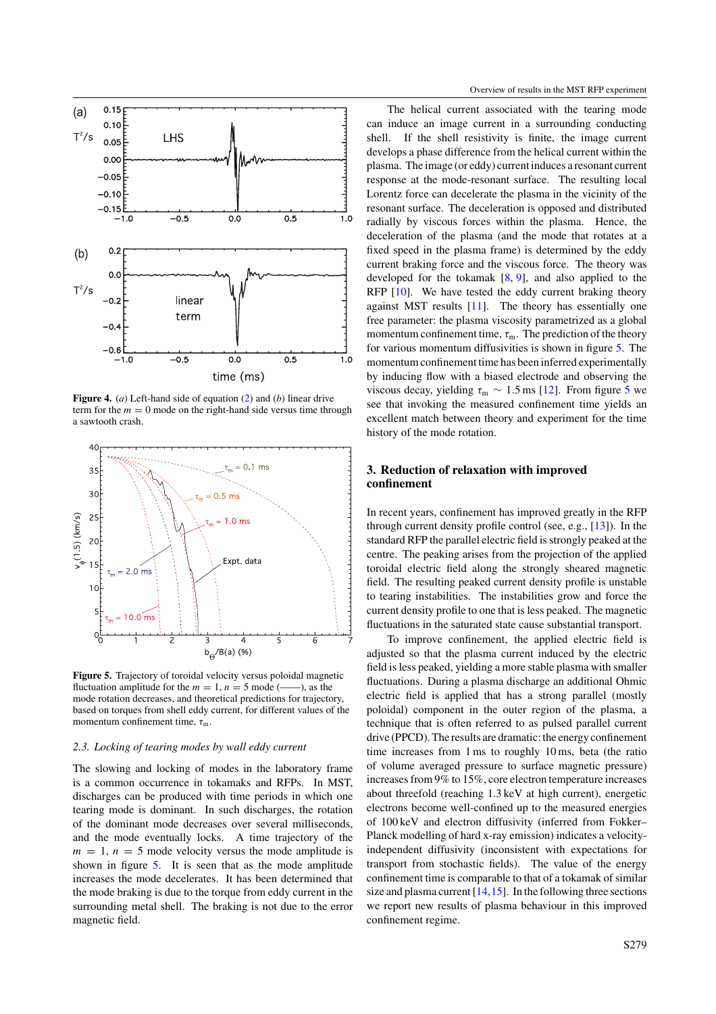<span id="page-3-0"></span>

**Figure 4.** (*a*) Left-hand side of equation [\(2\)](#page-2-0) and (*b*) linear drive term for the  $m = 0$  mode on the right-hand side versus time through a sawtooth crash.



**Figure 5.** Trajectory of toroidal velocity versus poloidal magnetic fluctuation amplitude for the  $m = 1$ ,  $n = 5$  mode (--), as the mode rotation decreases, and theoretical predictions for trajectory, based on torques from shell eddy current, for different values of the momentum confinement time, *τ*<sub>m</sub>.

## *2.3. Locking of tearing modes by wall eddy current*

The slowing and locking of modes in the laboratory frame is a common occurrence in tokamaks and RFPs. In MST, discharges can be produced with time periods in which one tearing mode is dominant. In such discharges, the rotation of the dominant mode decreases over several milliseconds, and the mode eventually locks. A time trajectory of the  $m = 1$ ,  $n = 5$  mode velocity versus the mode amplitude is shown in figure 5. It is seen that as the mode amplitude increases the mode decelerates. It has been determined that the mode braking is due to the torque from eddy current in the surrounding metal shell. The braking is not due to the error magnetic field.

The helical current associated with the tearing mode can induce an image current in a surrounding conducting shell. If the shell resistivity is finite, the image current develops a phase difference from the helical current within the plasma. The image (or eddy) current induces a resonant current response at the mode-resonant surface. The resulting local Lorentz force can decelerate the plasma in the vicinity of the resonant surface. The deceleration is opposed and distributed radially by viscous forces within the plasma. Hence, the deceleration of the plasma (and the mode that rotates at a fixed speed in the plasma frame) is determined by the eddy current braking force and the viscous force. The theory was developed for the tokamak  $[8, 9]$  $[8, 9]$  $[8, 9]$ , and also applied to the RFP  $[10]$ . We have tested the eddy current braking theory against MST results [\[11\]](#page-6-0). The theory has essentially one free parameter: the plasma viscosity parametrized as a global momentum confinement time,  $\tau_{\rm m}$ . The prediction of the theory for various momentum diffusivities is shown in figure 5. The momentum confinement time has been inferred experimentally by inducing flow with a biased electrode and observing the viscous decay, yielding  $\tau_{\rm m} \sim 1.5 \,\rm ms$  [\[12\]](#page-6-0). From figure 5 we see that invoking the measured confinement time yields an excellent match between theory and experiment for the time history of the mode rotation.

# **3. Reduction of relaxation with improved confinement**

In recent years, confinement has improved greatly in the RFP through current density profile control (see, e.g., [\[13\]](#page-6-0)). In the standard RFP the parallel electric field is strongly peaked at the centre. The peaking arises from the projection of the applied toroidal electric field along the strongly sheared magnetic field. The resulting peaked current density profile is unstable to tearing instabilities. The instabilities grow and force the current density profile to one that is less peaked. The magnetic fluctuations in the saturated state cause substantial transport.

To improve confinement, the applied electric field is adjusted so that the plasma current induced by the electric field is less peaked, yielding a more stable plasma with smaller fluctuations. During a plasma discharge an additional Ohmic electric field is applied that has a strong parallel (mostly poloidal) component in the outer region of the plasma, a technique that is often referred to as pulsed parallel current drive (PPCD). The results are dramatic: the energy confinement time increases from 1 ms to roughly 10 ms, beta (the ratio of volume averaged pressure to surface magnetic pressure) increases from 9% to 15%, core electron temperature increases about threefold (reaching 1.3 keV at high current), energetic electrons become well-confined up to the measured energies of 100 keV and electron diffusivity (inferred from Fokker– Planck modelling of hard x-ray emission) indicates a velocityindependent diffusivity (inconsistent with expectations for transport from stochastic fields). The value of the energy confinement time is comparable to that of a tokamak of similar size and plasma current  $[14, 15]$ . In the following three sections we report new results of plasma behaviour in this improved confinement regime.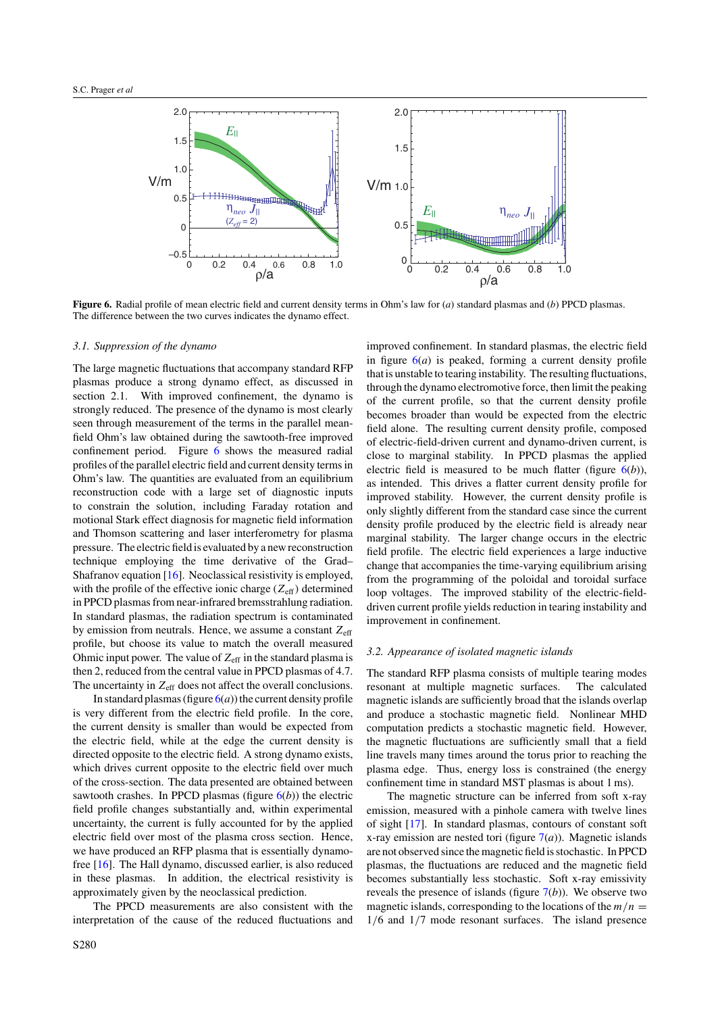

**Figure 6.** Radial profile of mean electric field and current density terms in Ohm's law for (*a*) standard plasmas and (*b*) PPCD plasmas. The difference between the two curves indicates the dynamo effect.

## *3.1. Suppression of the dynamo*

The large magnetic fluctuations that accompany standard RFP plasmas produce a strong dynamo effect, as discussed in section 2.1. With improved confinement, the dynamo is strongly reduced. The presence of the dynamo is most clearly seen through measurement of the terms in the parallel meanfield Ohm's law obtained during the sawtooth-free improved confinement period. Figure 6 shows the measured radial profiles of the parallel electric field and current density terms in Ohm's law. The quantities are evaluated from an equilibrium reconstruction code with a large set of diagnostic inputs to constrain the solution, including Faraday rotation and motional Stark effect diagnosis for magnetic field information and Thomson scattering and laser interferometry for plasma pressure. The electric field is evaluated by a new reconstruction technique employing the time derivative of the Grad– Shafranov equation [\[16\]](#page-6-0). Neoclassical resistivity is employed, with the profile of the effective ionic charge  $(Z_{\text{eff}})$  determined in PPCD plasmas from near-infrared bremsstrahlung radiation. In standard plasmas, the radiation spectrum is contaminated by emission from neutrals. Hence, we assume a constant  $Z_{\text{eff}}$ profile, but choose its value to match the overall measured Ohmic input power. The value of  $Z_{\text{eff}}$  in the standard plasma is then 2, reduced from the central value in PPCD plasmas of 4.7. The uncertainty in  $Z_{\text{eff}}$  does not affect the overall conclusions.

In standard plasmas (figure  $6(a)$ ) the current density profile is very different from the electric field profile. In the core, the current density is smaller than would be expected from the electric field, while at the edge the current density is directed opposite to the electric field. A strong dynamo exists, which drives current opposite to the electric field over much of the cross-section. The data presented are obtained between sawtooth crashes. In PPCD plasmas (figure 6(*b*)) the electric field profile changes substantially and, within experimental uncertainty, the current is fully accounted for by the applied electric field over most of the plasma cross section. Hence, we have produced an RFP plasma that is essentially dynamofree [\[16\]](#page-6-0). The Hall dynamo, discussed earlier, is also reduced in these plasmas. In addition, the electrical resistivity is approximately given by the neoclassical prediction.

The PPCD measurements are also consistent with the interpretation of the cause of the reduced fluctuations and

improved confinement. In standard plasmas, the electric field in figure  $6(a)$  is peaked, forming a current density profile that is unstable to tearing instability. The resulting fluctuations, through the dynamo electromotive force, then limit the peaking of the current profile, so that the current density profile becomes broader than would be expected from the electric field alone. The resulting current density profile, composed of electric-field-driven current and dynamo-driven current, is close to marginal stability. In PPCD plasmas the applied electric field is measured to be much flatter (figure  $6(b)$ ), as intended. This drives a flatter current density profile for improved stability. However, the current density profile is only slightly different from the standard case since the current density profile produced by the electric field is already near marginal stability. The larger change occurs in the electric field profile. The electric field experiences a large inductive change that accompanies the time-varying equilibrium arising from the programming of the poloidal and toroidal surface loop voltages. The improved stability of the electric-fielddriven current profile yields reduction in tearing instability and improvement in confinement.

#### *3.2. Appearance of isolated magnetic islands*

The standard RFP plasma consists of multiple tearing modes resonant at multiple magnetic surfaces. The calculated magnetic islands are sufficiently broad that the islands overlap and produce a stochastic magnetic field. Nonlinear MHD computation predicts a stochastic magnetic field. However, the magnetic fluctuations are sufficiently small that a field line travels many times around the torus prior to reaching the plasma edge. Thus, energy loss is constrained (the energy confinement time in standard MST plasmas is about 1 ms).

The magnetic structure can be inferred from soft x-ray emission, measured with a pinhole camera with twelve lines of sight [\[17\]](#page-6-0). In standard plasmas, contours of constant soft x-ray emission are nested tori (figure  $7(a)$  $7(a)$ ). Magnetic islands are not observed since the magnetic field is stochastic. In PPCD plasmas, the fluctuations are reduced and the magnetic field becomes substantially less stochastic. Soft x-ray emissivity reveals the presence of islands (figure [7\(](#page-5-0)*b*)). We observe two magnetic islands, corresponding to the locations of the  $m/n =$ 1*/*6 and 1*/*7 mode resonant surfaces. The island presence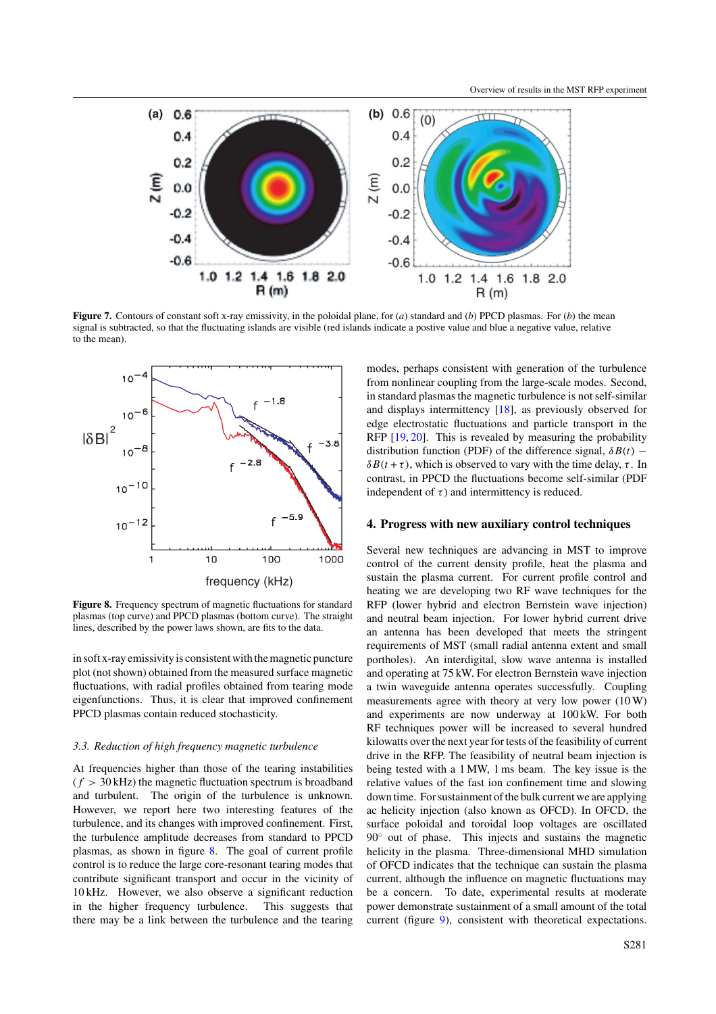<span id="page-5-0"></span>

**Figure 7.** Contours of constant soft x-ray emissivity, in the poloidal plane, for (*a*) standard and (*b*) PPCD plasmas. For (*b*) the mean signal is subtracted, so that the fluctuating islands are visible (red islands indicate a postive value and blue a negative value, relative to the mean).



Figure 8. Frequency spectrum of magnetic fluctuations for standard plasmas (top curve) and PPCD plasmas (bottom curve). The straight lines, described by the power laws shown, are fits to the data.

in soft x-ray emissivity is consistent with the magnetic puncture plot (not shown) obtained from the measured surface magnetic fluctuations, with radial profiles obtained from tearing mode eigenfunctions. Thus, it is clear that improved confinement PPCD plasmas contain reduced stochasticity.

## *3.3. Reduction of high frequency magnetic turbulence*

At frequencies higher than those of the tearing instabilities  $(f > 30$  kHz) the magnetic fluctuation spectrum is broadband and turbulent. The origin of the turbulence is unknown. However, we report here two interesting features of the turbulence, and its changes with improved confinement. First, the turbulence amplitude decreases from standard to PPCD plasmas, as shown in figure 8. The goal of current profile control is to reduce the large core-resonant tearing modes that contribute significant transport and occur in the vicinity of 10 kHz. However, we also observe a significant reduction in the higher frequency turbulence. This suggests that there may be a link between the turbulence and the tearing modes, perhaps consistent with generation of the turbulence from nonlinear coupling from the large-scale modes. Second, in standard plasmas the magnetic turbulence is not self-similar and displays intermittency [\[18\]](#page-6-0), as previously observed for edge electrostatic fluctuations and particle transport in the RFP [\[19,](#page-6-0) [20\]](#page-6-0). This is revealed by measuring the probability distribution function (PDF) of the difference signal,  $\delta B(t)$  −  $\delta B(t + \tau)$ , which is observed to vary with the time delay,  $\tau$ . In contrast, in PPCD the fluctuations become self-similar (PDF independent of  $\tau$ ) and intermittency is reduced.

## **4. Progress with new auxiliary control techniques**

Several new techniques are advancing in MST to improve control of the current density profile, heat the plasma and sustain the plasma current. For current profile control and heating we are developing two RF wave techniques for the RFP (lower hybrid and electron Bernstein wave injection) and neutral beam injection. For lower hybrid current drive an antenna has been developed that meets the stringent requirements of MST (small radial antenna extent and small portholes). An interdigital, slow wave antenna is installed and operating at 75 kW. For electron Bernstein wave injection a twin waveguide antenna operates successfully. Coupling measurements agree with theory at very low power (10 W) and experiments are now underway at 100 kW. For both RF techniques power will be increased to several hundred kilowatts over the next year for tests of the feasibility of current drive in the RFP. The feasibility of neutral beam injection is being tested with a 1 MW, 1 ms beam. The key issue is the relative values of the fast ion confinement time and slowing down time. For sustainment of the bulk current we are applying ac helicity injection (also known as OFCD). In OFCD, the surface poloidal and toroidal loop voltages are oscillated 90◦ out of phase. This injects and sustains the magnetic helicity in the plasma. Three-dimensional MHD simulation of OFCD indicates that the technique can sustain the plasma current, although the influence on magnetic fluctuations may be a concern. To date, experimental results at moderate power demonstrate sustainment of a small amount of the total current (figure [9\)](#page-6-0), consistent with theoretical expectations.